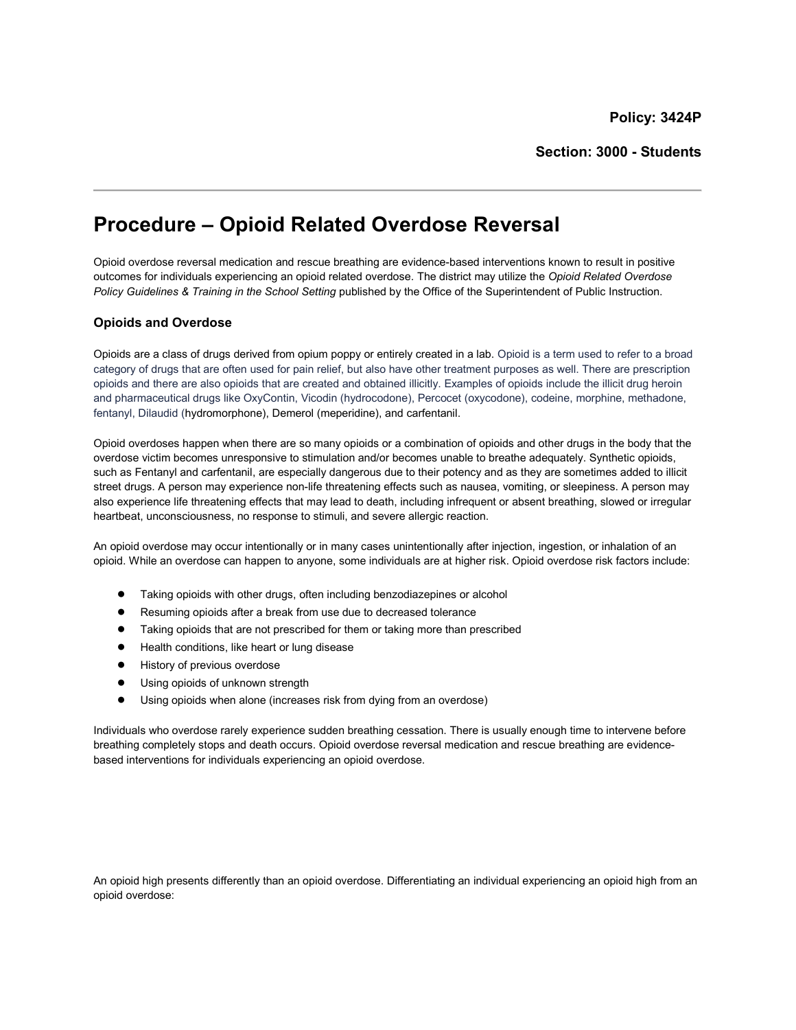# Procedure – Opioid Related Overdose Reversal

Opioid overdose reversal medication and rescue breathing are evidence-based interventions known to result in positive outcomes for individuals experiencing an opioid related overdose. The district may utilize the Opioid Related Overdose Policy Guidelines & Training in the School Setting published by the Office of the Superintendent of Public Instruction.

## Opioids and Overdose

Opioids are a class of drugs derived from opium poppy or entirely created in a lab. Opioid is a term used to refer to a broad category of drugs that are often used for pain relief, but also have other treatment purposes as well. There are prescription opioids and there are also opioids that are created and obtained illicitly. Examples of opioids include the illicit drug heroin and pharmaceutical drugs like OxyContin, Vicodin (hydrocodone), Percocet (oxycodone), codeine, morphine, methadone, fentanyl, Dilaudid (hydromorphone), Demerol (meperidine), and carfentanil.

Opioid overdoses happen when there are so many opioids or a combination of opioids and other drugs in the body that the overdose victim becomes unresponsive to stimulation and/or becomes unable to breathe adequately. Synthetic opioids, such as Fentanyl and carfentanil, are especially dangerous due to their potency and as they are sometimes added to illicit street drugs. A person may experience non-life threatening effects such as nausea, vomiting, or sleepiness. A person may also experience life threatening effects that may lead to death, including infrequent or absent breathing, slowed or irregular heartbeat, unconsciousness, no response to stimuli, and severe allergic reaction.

An opioid overdose may occur intentionally or in many cases unintentionally after injection, ingestion, or inhalation of an opioid. While an overdose can happen to anyone, some individuals are at higher risk. Opioid overdose risk factors include:

- Taking opioids with other drugs, often including benzodiazepines or alcohol
- Resuming opioids after a break from use due to decreased tolerance
- Taking opioids that are not prescribed for them or taking more than prescribed
- Health conditions, like heart or lung disease
- History of previous overdose
- Using opioids of unknown strength
- Using opioids when alone (increases risk from dying from an overdose)

Individuals who overdose rarely experience sudden breathing cessation. There is usually enough time to intervene before breathing completely stops and death occurs. Opioid overdose reversal medication and rescue breathing are evidencebased interventions for individuals experiencing an opioid overdose.

An opioid high presents differently than an opioid overdose. Differentiating an individual experiencing an opioid high from an opioid overdose: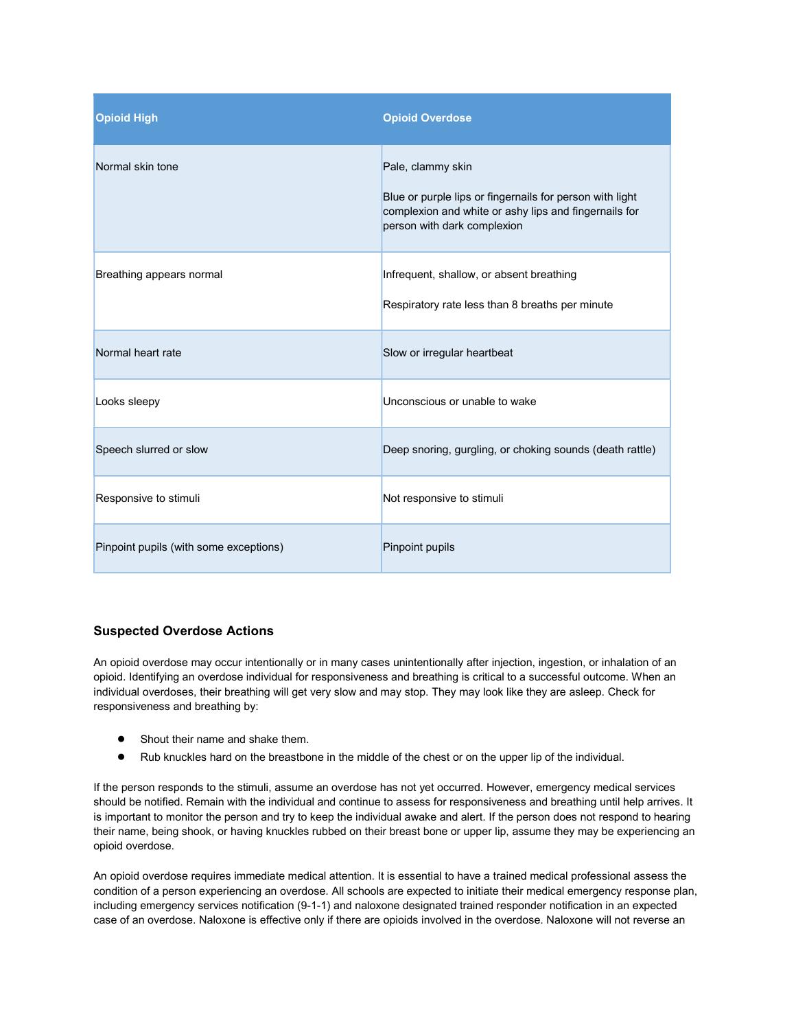| <b>Opioid High</b>                     | <b>Opioid Overdose</b>                                                                                                                                                |
|----------------------------------------|-----------------------------------------------------------------------------------------------------------------------------------------------------------------------|
| Normal skin tone                       | Pale, clammy skin<br>Blue or purple lips or fingernails for person with light<br>complexion and white or ashy lips and fingernails for<br>person with dark complexion |
| Breathing appears normal               | Infrequent, shallow, or absent breathing<br>Respiratory rate less than 8 breaths per minute                                                                           |
| Normal heart rate                      | Slow or irregular heartbeat                                                                                                                                           |
| Looks sleepy                           | Unconscious or unable to wake                                                                                                                                         |
| Speech slurred or slow                 | Deep snoring, gurgling, or choking sounds (death rattle)                                                                                                              |
| Responsive to stimuli                  | Not responsive to stimuli                                                                                                                                             |
| Pinpoint pupils (with some exceptions) | Pinpoint pupils                                                                                                                                                       |

## Suspected Overdose Actions

An opioid overdose may occur intentionally or in many cases unintentionally after injection, ingestion, or inhalation of an opioid. Identifying an overdose individual for responsiveness and breathing is critical to a successful outcome. When an individual overdoses, their breathing will get very slow and may stop. They may look like they are asleep. Check for responsiveness and breathing by:

- Shout their name and shake them.
- Rub knuckles hard on the breastbone in the middle of the chest or on the upper lip of the individual.

If the person responds to the stimuli, assume an overdose has not yet occurred. However, emergency medical services should be notified. Remain with the individual and continue to assess for responsiveness and breathing until help arrives. It is important to monitor the person and try to keep the individual awake and alert. If the person does not respond to hearing their name, being shook, or having knuckles rubbed on their breast bone or upper lip, assume they may be experiencing an opioid overdose.

An opioid overdose requires immediate medical attention. It is essential to have a trained medical professional assess the condition of a person experiencing an overdose. All schools are expected to initiate their medical emergency response plan, including emergency services notification (9-1-1) and naloxone designated trained responder notification in an expected case of an overdose. Naloxone is effective only if there are opioids involved in the overdose. Naloxone will not reverse an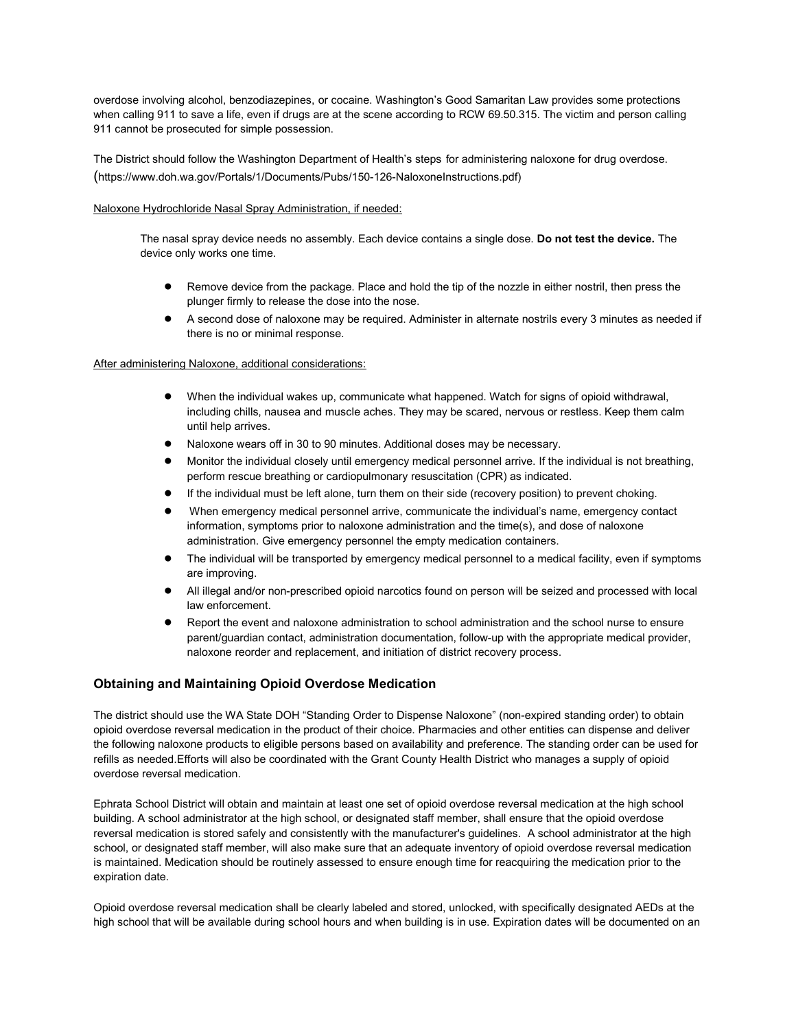overdose involving alcohol, benzodiazepines, or cocaine. Washington's Good Samaritan Law provides some protections when calling 911 to save a life, even if drugs are at the scene according to RCW 69.50.315. The victim and person calling 911 cannot be prosecuted for simple possession.

The District should follow the Washington Department of Health's steps for administering naloxone for drug overdose. (https://www.doh.wa.gov/Portals/1/Documents/Pubs/150-126-NaloxoneInstructions.pdf)

#### Naloxone Hydrochloride Nasal Spray Administration, if needed:

The nasal spray device needs no assembly. Each device contains a single dose. Do not test the device. The device only works one time.

- Remove device from the package. Place and hold the tip of the nozzle in either nostril, then press the plunger firmly to release the dose into the nose.
- A second dose of naloxone may be required. Administer in alternate nostrils every 3 minutes as needed if there is no or minimal response.

#### After administering Naloxone, additional considerations:

- When the individual wakes up, communicate what happened. Watch for signs of opioid withdrawal, including chills, nausea and muscle aches. They may be scared, nervous or restless. Keep them calm until help arrives.
- Naloxone wears off in 30 to 90 minutes. Additional doses may be necessary.
- Monitor the individual closely until emergency medical personnel arrive. If the individual is not breathing, perform rescue breathing or cardiopulmonary resuscitation (CPR) as indicated.
- If the individual must be left alone, turn them on their side (recovery position) to prevent choking.
- When emergency medical personnel arrive, communicate the individual's name, emergency contact information, symptoms prior to naloxone administration and the time(s), and dose of naloxone administration. Give emergency personnel the empty medication containers.
- The individual will be transported by emergency medical personnel to a medical facility, even if symptoms are improving.
- All illegal and/or non-prescribed opioid narcotics found on person will be seized and processed with local law enforcement.
- Report the event and naloxone administration to school administration and the school nurse to ensure parent/guardian contact, administration documentation, follow-up with the appropriate medical provider, naloxone reorder and replacement, and initiation of district recovery process.

## Obtaining and Maintaining Opioid Overdose Medication

The district should use the WA State DOH "Standing Order to Dispense Naloxone" (non-expired standing order) to obtain opioid overdose reversal medication in the product of their choice. Pharmacies and other entities can dispense and deliver the following naloxone products to eligible persons based on availability and preference. The standing order can be used for refills as needed.Efforts will also be coordinated with the Grant County Health District who manages a supply of opioid overdose reversal medication.

Ephrata School District will obtain and maintain at least one set of opioid overdose reversal medication at the high school building. A school administrator at the high school, or designated staff member, shall ensure that the opioid overdose reversal medication is stored safely and consistently with the manufacturer's guidelines. A school administrator at the high school, or designated staff member, will also make sure that an adequate inventory of opioid overdose reversal medication is maintained. Medication should be routinely assessed to ensure enough time for reacquiring the medication prior to the expiration date.

Opioid overdose reversal medication shall be clearly labeled and stored, unlocked, with specifically designated AEDs at the high school that will be available during school hours and when building is in use. Expiration dates will be documented on an